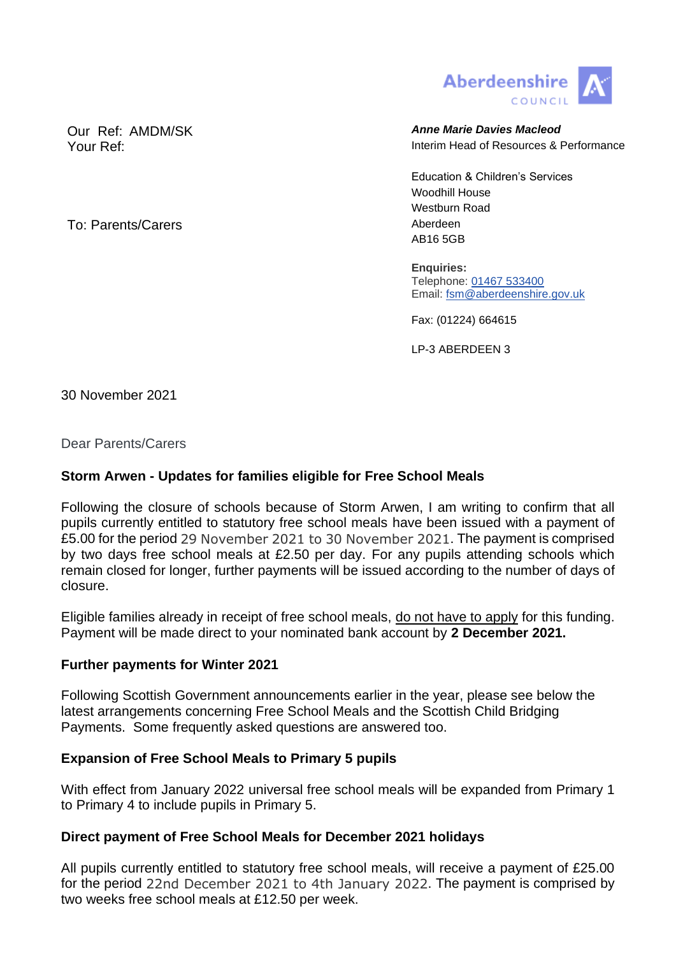

Our Ref: AMDM/SK **Anne Marie Davies Macleod Anne Marie Davies Macleod** Your Ref: Interim Head of Resources & Performance

> Education & Children's Services Woodhill House Westburn Road AB16 5GB

**Enquiries:** Telephone: [01467 533400](tel:01467533400) Email: [fsm@aberdeenshire.gov.uk](mailto:fsm@aberdeenshire.gov.uk)

Fax: (01224) 664615

LP-3 ABERDEEN 3

30 November 2021

Dear Parents/Carers

# **Storm Arwen - Updates for families eligible for Free School Meals**

Following the closure of schools because of Storm Arwen, I am writing to confirm that all pupils currently entitled to statutory free school meals have been issued with a payment of £5.00 for the period 29 November 2021 to 30 November 2021. The payment is comprised by two days free school meals at £2.50 per day. For any pupils attending schools which remain closed for longer, further payments will be issued according to the number of days of closure.

Eligible families already in receipt of free school meals, do not have to apply for this funding. Payment will be made direct to your nominated bank account by **2 December 2021.**

## **Further payments for Winter 2021**

Following Scottish Government announcements earlier in the year, please see below the latest arrangements concerning Free School Meals and the Scottish Child Bridging Payments. Some frequently asked questions are answered too.

## **Expansion of Free School Meals to Primary 5 pupils**

With effect from January 2022 universal free school meals will be expanded from Primary 1 to Primary 4 to include pupils in Primary 5.

## **Direct payment of Free School Meals for December 2021 holidays**

All pupils currently entitled to statutory free school meals, will receive a payment of £25.00 for the period 22nd December 2021 to 4th January 2022. The payment is comprised by two weeks free school meals at £12.50 per week.

To: Parents/Carers and the contract of the Aberdeen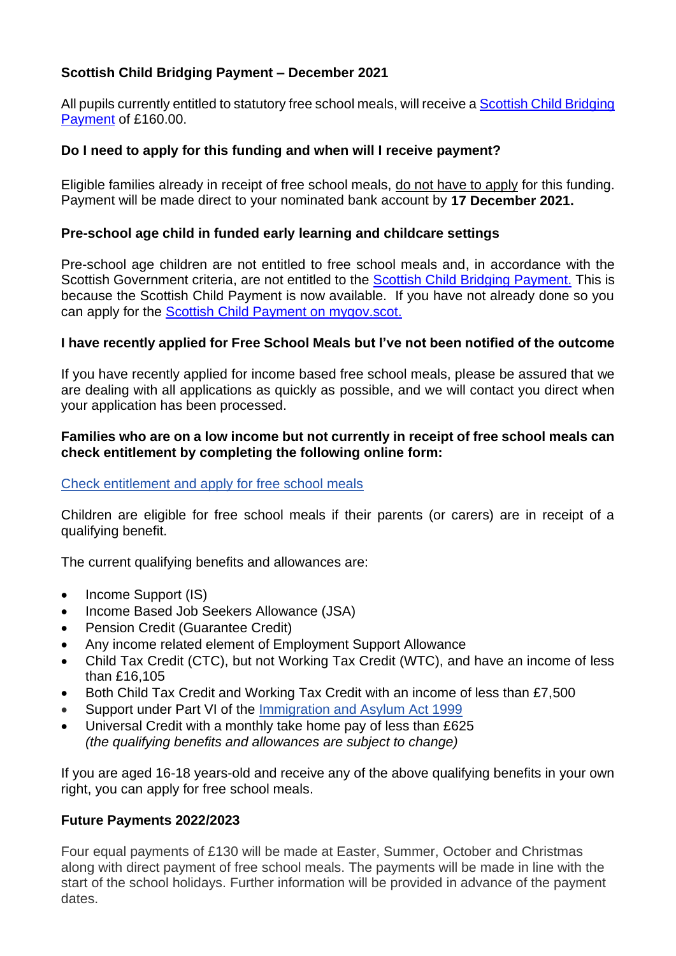# **Scottish Child Bridging Payment – December 2021**

All pupils currently entitled to statutory free school meals, will receive a [Scottish Child Bridging](https://www.mygov.scot/scottish-child-bridging-payments)  [Payment](https://www.mygov.scot/scottish-child-bridging-payments) of £160.00.

# **Do I need to apply for this funding and when will I receive payment?**

Eligible families already in receipt of free school meals, do not have to apply for this funding. Payment will be made direct to your nominated bank account by **17 December 2021.**

## **Pre-school age child in funded early learning and childcare settings**

Pre-school age children are not entitled to free school meals and, in accordance with the Scottish Government criteria, are not entitled to the [Scottish Child Bridging Payment.](https://www.mygov.scot/scottish-child-bridging-payments) This is because the Scottish Child Payment is now available. If you have not already done so you can apply for the [Scottish Child Payment on mygov.scot.](https://www.mygov.scot/scottish-child-payment)

# **I have recently applied for Free School Meals but I've not been notified of the outcome**

If you have recently applied for income based free school meals, please be assured that we are dealing with all applications as quickly as possible, and we will contact you direct when your application has been processed.

## **Families who are on a low income but not currently in receipt of free school meals can check entitlement by completing the following online form:**

## [Check entitlement and apply for free school meals](https://aberdeenshirecouncil.formstack.com/forms/free_school_meals_school_clothing_grant_application_form)

Children are eligible for free school meals if their parents (or carers) are in receipt of a qualifying benefit.

The current qualifying benefits and allowances are:

- Income Support (IS)
- Income Based Job Seekers Allowance (JSA)
- Pension Credit (Guarantee Credit)
- Any income related element of Employment Support Allowance
- Child Tax Credit (CTC), but not Working Tax Credit (WTC), and have an income of less than £16,105
- Both Child Tax Credit and Working Tax Credit with an income of less than £7,500
- Support under Part VI of the [Immigration and Asylum Act 1999](https://www.legislation.gov.uk/ukpga/1999/33/contents)
- Universal Credit with a monthly take home pay of less than £625 *(the qualifying benefits and allowances are subject to change)*

If you are aged 16-18 years-old and receive any of the above qualifying benefits in your own right, you can apply for free school meals.

## **Future Payments 2022/2023**

Four equal payments of £130 will be made at Easter, Summer, October and Christmas along with direct payment of free school meals. The payments will be made in line with the start of the school holidays. Further information will be provided in advance of the payment dates.